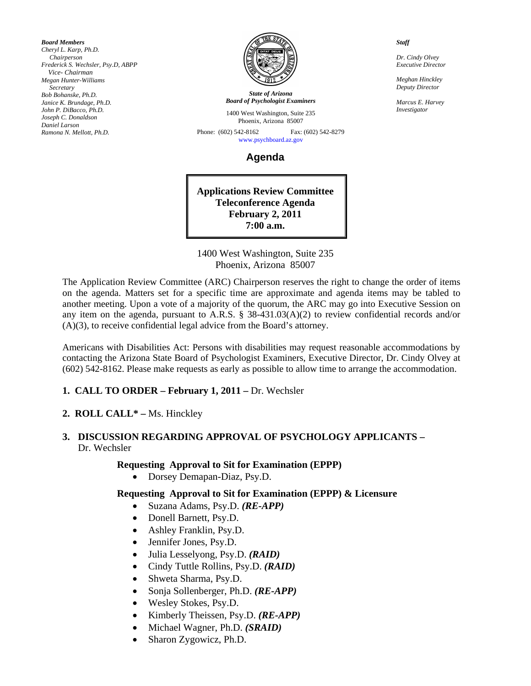*Board Members Cheryl L. Karp, Ph.D. Chairperson Frederick S. Wechsler, Psy.D, ABPP Vice- Chairman Megan Hunter-Williams Secretary Bob Bohanske, Ph.D. Janice K. Brundage, Ph.D. John P. DiBacco, Ph.D. Joseph C. Donaldson Daniel Larson Ramona N. Mellott, Ph.D.* 



*State of Arizona Board of Psychologist Examiners*

1400 West Washington, Suite 235 Phoenix, Arizona 85007

Phone: (602) 542-8162 Fax: (602) 542-8279 [www.psychboard.az.gov](http://www.psychboard.az.gov/) 

**Agenda** 

**Applications Review Committee Teleconference Agenda February 2, 2011 7:00 a.m.** 

1400 West Washington, Suite 235 Phoenix, Arizona 85007

The Application Review Committee (ARC) Chairperson reserves the right to change the order of items on the agenda. Matters set for a specific time are approximate and agenda items may be tabled to another meeting. Upon a vote of a majority of the quorum, the ARC may go into Executive Session on any item on the agenda, pursuant to A.R.S. § 38-431.03(A)(2) to review confidential records and/or (A)(3), to receive confidential legal advice from the Board's attorney.

Americans with Disabilities Act: Persons with disabilities may request reasonable accommodations by contacting the Arizona State Board of Psychologist Examiners, Executive Director, Dr. Cindy Olvey at (602) 542-8162. Please make requests as early as possible to allow time to arrange the accommodation.

### **1. CALL TO ORDER – February 1, 2011 – Dr. Wechsler**

#### **2. ROLL CALL\* –** Ms. Hinckley

#### **3. DISCUSSION REGARDING APPROVAL OF PSYCHOLOGY APPLICANTS –**  Dr. Wechsler

#### **Requesting Approval to Sit for Examination (EPPP)**

• Dorsey Demapan-Diaz, Psy.D.

#### **Requesting Approval to Sit for Examination (EPPP) & Licensure**

- Suzana Adams, Psy.D. *(RE-APP)*
- Donell Barnett, Psy.D.
- Ashley Franklin, Psy.D.
- Jennifer Jones, Psy.D.
- Julia Lesselyong, Psy.D. *(RAID)*
- Cindy Tuttle Rollins, Psy.D. *(RAID)*
- Shweta Sharma, Psy.D.
- Sonja Sollenberger, Ph.D. *(RE-APP)*
- Wesley Stokes, Psy.D.
- Kimberly Theissen, Psy.D. *(RE-APP)*
- Michael Wagner, Ph.D. *(SRAID)*
- Sharon Zygowicz, Ph.D.

*Staff* 

*Dr. Cindy Olvey Executive Director* 

*Meghan Hinckley Deputy Director* 

*Marcus E. Harvey Investigator*